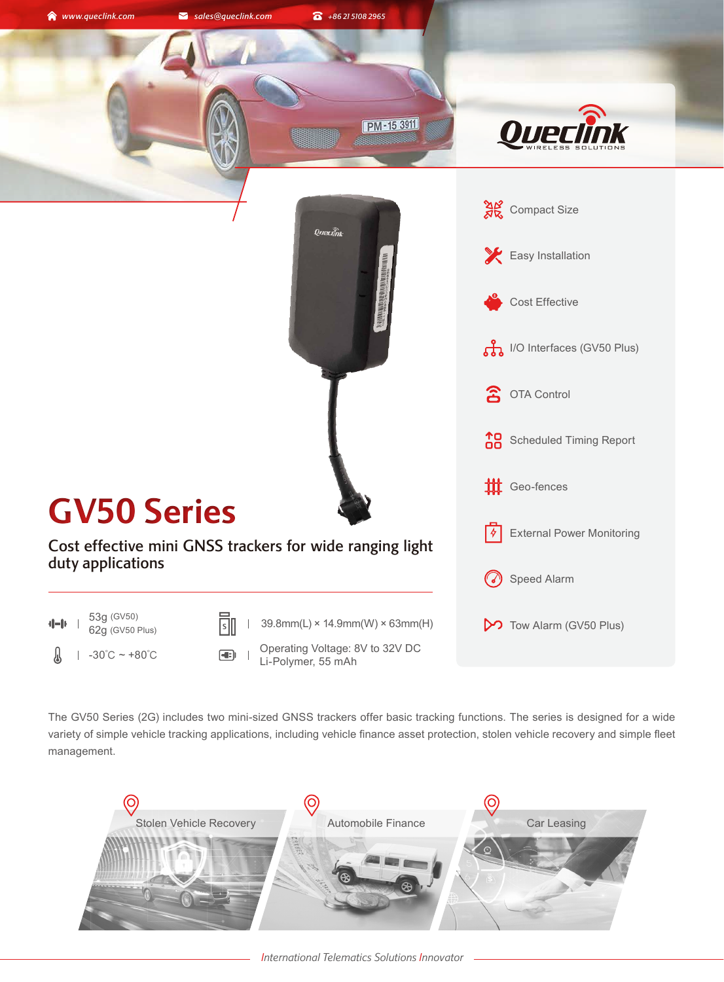

The GV50 Series (2G) includes two mini-sized GNSS trackers offer basic tracking functions. The series is designed for a wide variety of simple vehicle tracking applications, including vehicle finance asset protection, stolen vehicle recovery and simple fleet management.